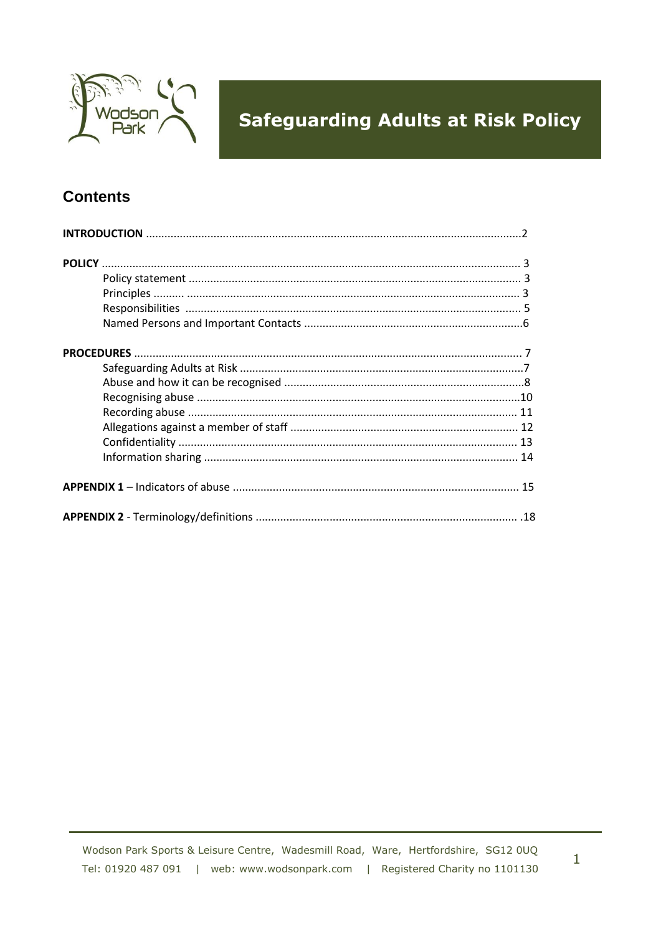

### **Contents**

 $\mathbf{1}$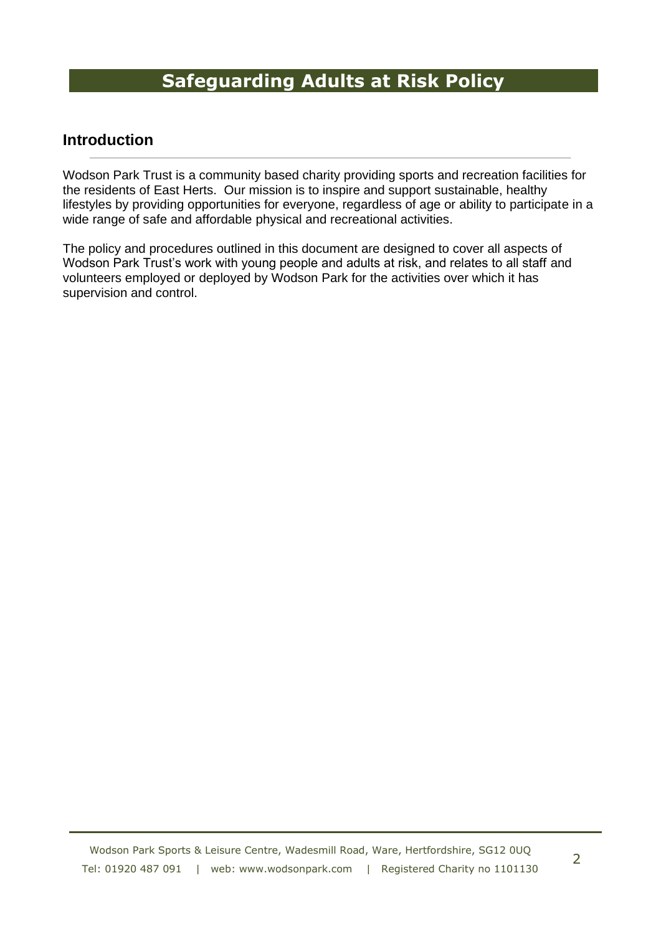### **Introduction**

Wodson Park Trust is a community based charity providing sports and recreation facilities for the residents of East Herts. Our mission is to inspire and support sustainable, healthy lifestyles by providing opportunities for everyone, regardless of age or ability to participate in a wide range of safe and affordable physical and recreational activities.

The policy and procedures outlined in this document are designed to cover all aspects of Wodson Park Trust's work with young people and adults at risk, and relates to all staff and volunteers employed or deployed by Wodson Park for the activities over which it has supervision and control.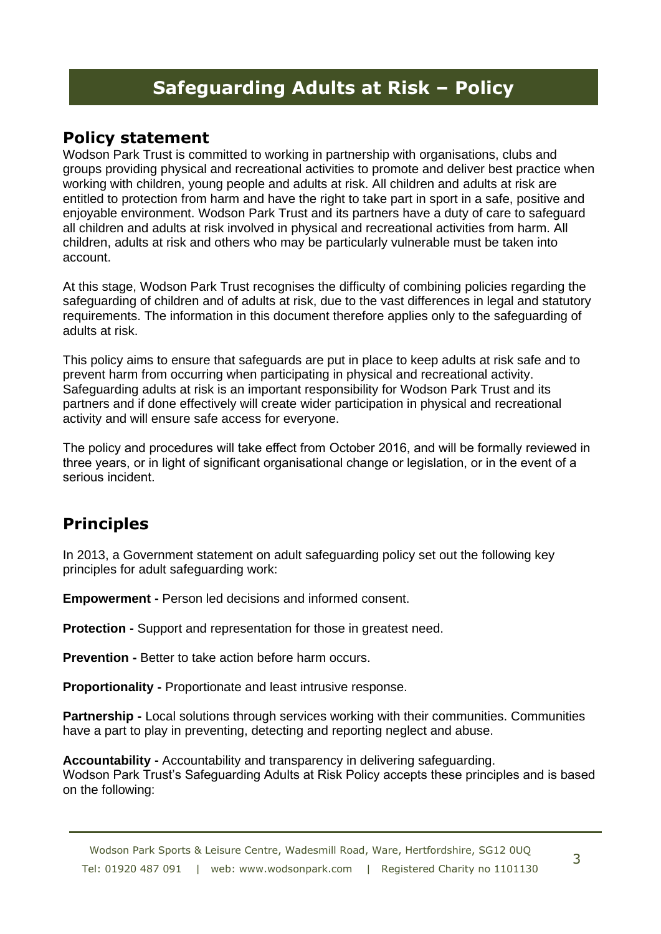### **Policy statement**

Wodson Park Trust is committed to working in partnership with organisations, clubs and groups providing physical and recreational activities to promote and deliver best practice when working with children, young people and adults at risk. All children and adults at risk are entitled to protection from harm and have the right to take part in sport in a safe, positive and enjoyable environment. Wodson Park Trust and its partners have a duty of care to safeguard all children and adults at risk involved in physical and recreational activities from harm. All children, adults at risk and others who may be particularly vulnerable must be taken into account.

At this stage, Wodson Park Trust recognises the difficulty of combining policies regarding the safeguarding of children and of adults at risk, due to the vast differences in legal and statutory requirements. The information in this document therefore applies only to the safeguarding of adults at risk.

This policy aims to ensure that safeguards are put in place to keep adults at risk safe and to prevent harm from occurring when participating in physical and recreational activity. Safeguarding adults at risk is an important responsibility for Wodson Park Trust and its partners and if done effectively will create wider participation in physical and recreational activity and will ensure safe access for everyone.

The policy and procedures will take effect from October 2016, and will be formally reviewed in three years, or in light of significant organisational change or legislation, or in the event of a serious incident.

## **Principles**

In 2013, a Government statement on adult safeguarding policy set out the following key principles for adult safeguarding work:

**Empowerment -** Person led decisions and informed consent.

**Protection -** Support and representation for those in greatest need.

**Prevention -** Better to take action before harm occurs.

**Proportionality -** Proportionate and least intrusive response.

**Partnership -** Local solutions through services working with their communities. Communities have a part to play in preventing, detecting and reporting neglect and abuse.

**Accountability -** Accountability and transparency in delivering safeguarding. Wodson Park Trust's Safeguarding Adults at Risk Policy accepts these principles and is based on the following: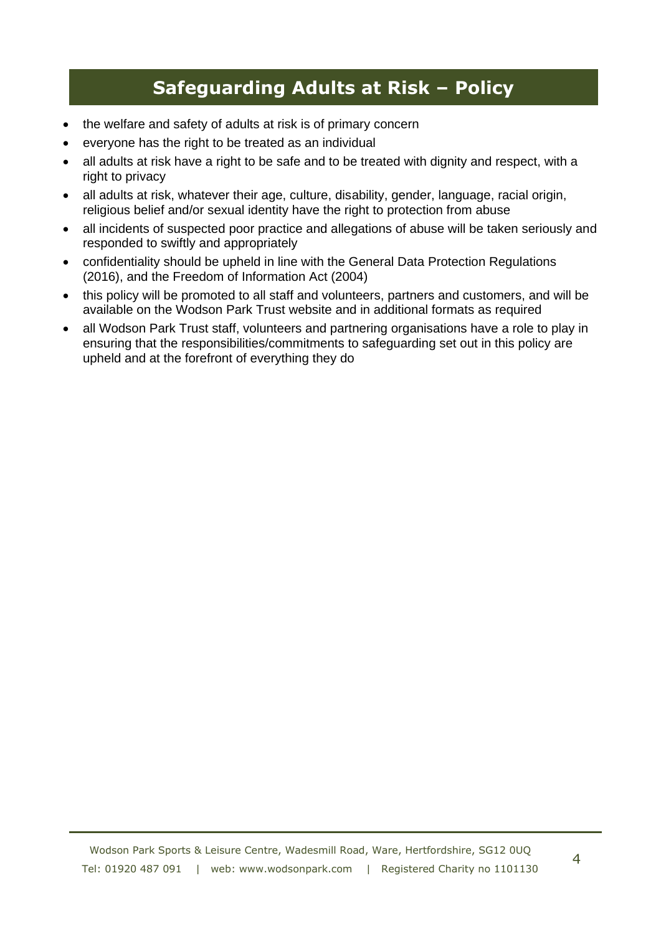- the welfare and safety of adults at risk is of primary concern
- everyone has the right to be treated as an individual
- all adults at risk have a right to be safe and to be treated with dignity and respect, with a right to privacy
- all adults at risk, whatever their age, culture, disability, gender, language, racial origin, religious belief and/or sexual identity have the right to protection from abuse
- all incidents of suspected poor practice and allegations of abuse will be taken seriously and responded to swiftly and appropriately
- confidentiality should be upheld in line with the General Data Protection Regulations (2016), and the Freedom of Information Act (2004)
- this policy will be promoted to all staff and volunteers, partners and customers, and will be available on the Wodson Park Trust website and in additional formats as required
- all Wodson Park Trust staff, volunteers and partnering organisations have a role to play in ensuring that the responsibilities/commitments to safeguarding set out in this policy are upheld and at the forefront of everything they do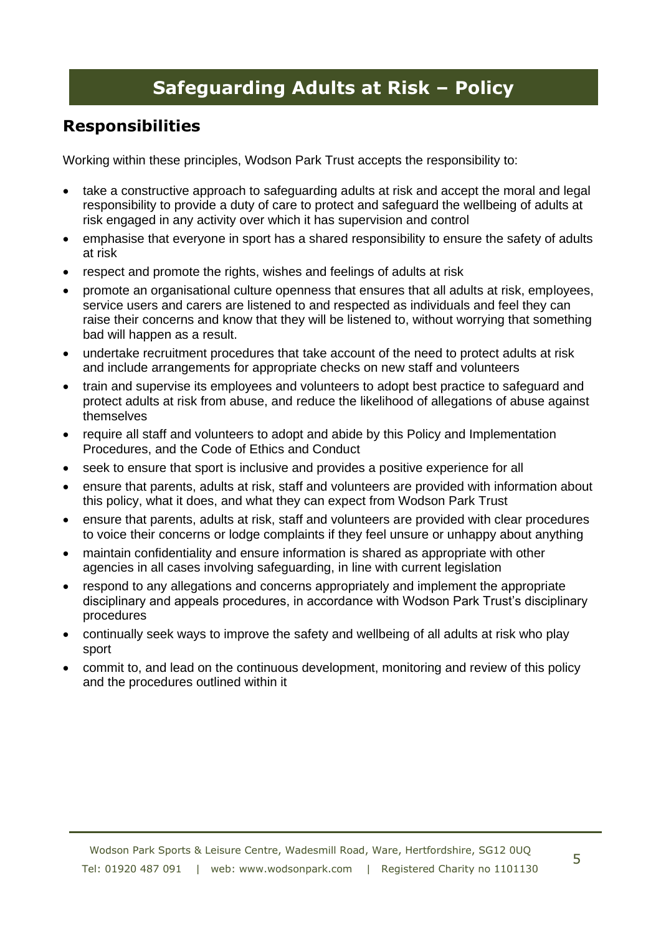### **Responsibilities**

Working within these principles, Wodson Park Trust accepts the responsibility to:

- take a constructive approach to safeguarding adults at risk and accept the moral and legal responsibility to provide a duty of care to protect and safeguard the wellbeing of adults at risk engaged in any activity over which it has supervision and control
- emphasise that everyone in sport has a shared responsibility to ensure the safety of adults at risk
- respect and promote the rights, wishes and feelings of adults at risk
- promote an organisational culture openness that ensures that all adults at risk, employees, service users and carers are listened to and respected as individuals and feel they can raise their concerns and know that they will be listened to, without worrying that something bad will happen as a result.
- undertake recruitment procedures that take account of the need to protect adults at risk and include arrangements for appropriate checks on new staff and volunteers
- train and supervise its employees and volunteers to adopt best practice to safeguard and protect adults at risk from abuse, and reduce the likelihood of allegations of abuse against themselves
- require all staff and volunteers to adopt and abide by this Policy and Implementation Procedures, and the Code of Ethics and Conduct
- seek to ensure that sport is inclusive and provides a positive experience for all
- ensure that parents, adults at risk, staff and volunteers are provided with information about this policy, what it does, and what they can expect from Wodson Park Trust
- ensure that parents, adults at risk, staff and volunteers are provided with clear procedures to voice their concerns or lodge complaints if they feel unsure or unhappy about anything
- maintain confidentiality and ensure information is shared as appropriate with other agencies in all cases involving safeguarding, in line with current legislation
- respond to any allegations and concerns appropriately and implement the appropriate disciplinary and appeals procedures, in accordance with Wodson Park Trust's disciplinary procedures
- continually seek ways to improve the safety and wellbeing of all adults at risk who play sport
- commit to, and lead on the continuous development, monitoring and review of this policy and the procedures outlined within it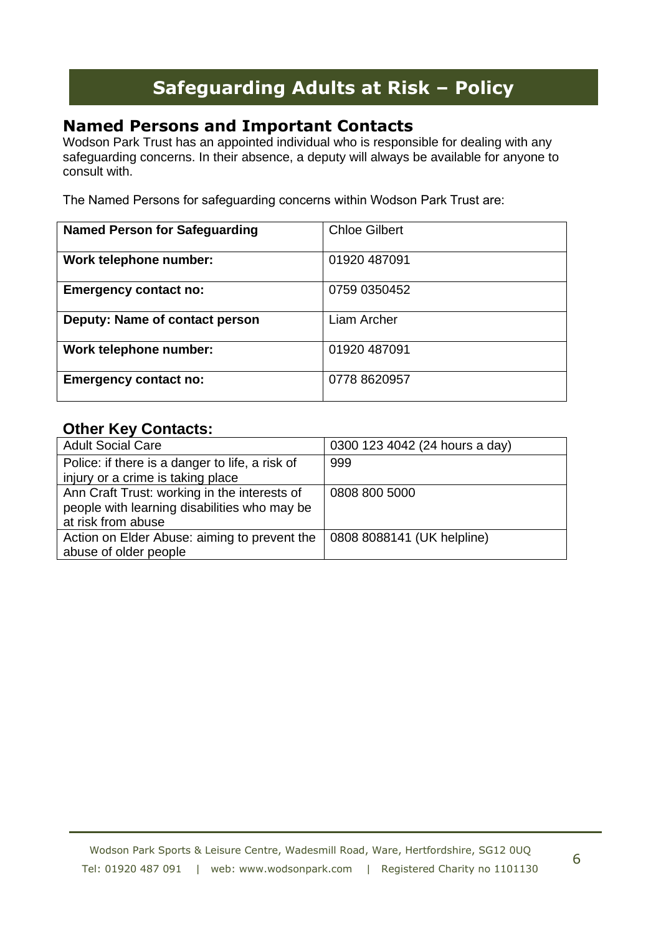### **Named Persons and Important Contacts**

Wodson Park Trust has an appointed individual who is responsible for dealing with any safeguarding concerns. In their absence, a deputy will always be available for anyone to consult with.

The Named Persons for safeguarding concerns within Wodson Park Trust are:

| <b>Named Person for Safeguarding</b> | <b>Chloe Gilbert</b> |
|--------------------------------------|----------------------|
| Work telephone number:               | 01920 487091         |
| <b>Emergency contact no:</b>         | 0759 0350452         |
| Deputy: Name of contact person       | Liam Archer          |
| Work telephone number:               | 01920 487091         |
| <b>Emergency contact no:</b>         | 0778 8620957         |

### **Other Key Contacts:**

| <b>Adult Social Care</b>                        | 0300 123 4042 (24 hours a day) |
|-------------------------------------------------|--------------------------------|
| Police: if there is a danger to life, a risk of | 999                            |
| injury or a crime is taking place               |                                |
| Ann Craft Trust: working in the interests of    | 0808 800 5000                  |
| people with learning disabilities who may be    |                                |
| at risk from abuse                              |                                |
| Action on Elder Abuse: aiming to prevent the    | 0808 8088141 (UK helpline)     |
| abuse of older people                           |                                |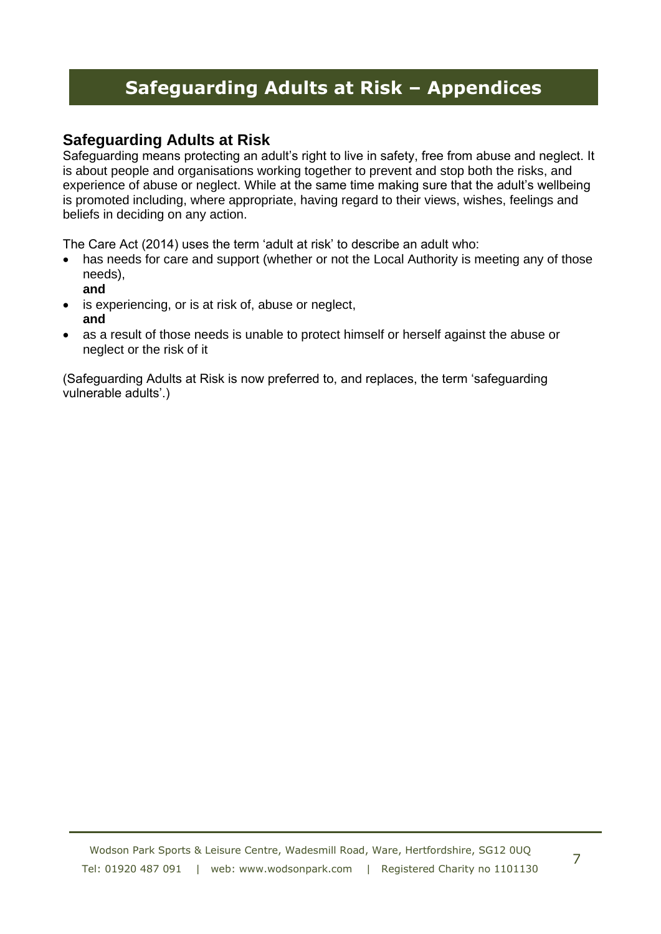### **Safeguarding Adults at Risk**

Safeguarding means protecting an adult's right to live in safety, free from abuse and neglect. It is about people and organisations working together to prevent and stop both the risks, and experience of abuse or neglect. While at the same time making sure that the adult's wellbeing is promoted including, where appropriate, having regard to their views, wishes, feelings and beliefs in deciding on any action.

The Care Act (2014) uses the term 'adult at risk' to describe an adult who:

- has needs for care and support (whether or not the Local Authority is meeting any of those needs),
	- **and**
- is experiencing, or is at risk of, abuse or neglect, **and**
- as a result of those needs is unable to protect himself or herself against the abuse or neglect or the risk of it

(Safeguarding Adults at Risk is now preferred to, and replaces, the term 'safeguarding vulnerable adults'.)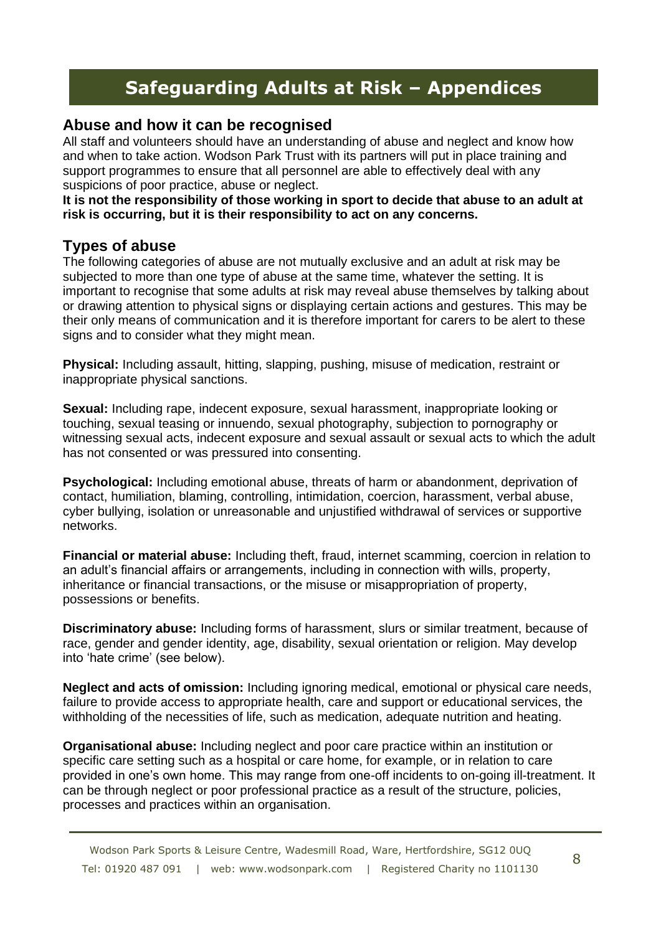### **Abuse and how it can be recognised**

All staff and volunteers should have an understanding of abuse and neglect and know how and when to take action. Wodson Park Trust with its partners will put in place training and support programmes to ensure that all personnel are able to effectively deal with any suspicions of poor practice, abuse or neglect.

**It is not the responsibility of those working in sport to decide that abuse to an adult at risk is occurring, but it is their responsibility to act on any concerns.** 

### **Types of abuse**

The following categories of abuse are not mutually exclusive and an adult at risk may be subjected to more than one type of abuse at the same time, whatever the setting. It is important to recognise that some adults at risk may reveal abuse themselves by talking about or drawing attention to physical signs or displaying certain actions and gestures. This may be their only means of communication and it is therefore important for carers to be alert to these signs and to consider what they might mean.

**Physical:** Including assault, hitting, slapping, pushing, misuse of medication, restraint or inappropriate physical sanctions.

**Sexual:** Including rape, indecent exposure, sexual harassment, inappropriate looking or touching, sexual teasing or innuendo, sexual photography, subjection to pornography or witnessing sexual acts, indecent exposure and sexual assault or sexual acts to which the adult has not consented or was pressured into consenting.

**Psychological:** Including emotional abuse, threats of harm or abandonment, deprivation of contact, humiliation, blaming, controlling, intimidation, coercion, harassment, verbal abuse, cyber bullying, isolation or unreasonable and unjustified withdrawal of services or supportive networks.

**Financial or material abuse:** Including theft, fraud, internet scamming, coercion in relation to an adult's financial affairs or arrangements, including in connection with wills, property, inheritance or financial transactions, or the misuse or misappropriation of property, possessions or benefits.

**Discriminatory abuse:** Including forms of harassment, slurs or similar treatment, because of race, gender and gender identity, age, disability, sexual orientation or religion. May develop into 'hate crime' (see below).

**Neglect and acts of omission:** Including ignoring medical, emotional or physical care needs, failure to provide access to appropriate health, care and support or educational services, the withholding of the necessities of life, such as medication, adequate nutrition and heating.

**Organisational abuse:** Including neglect and poor care practice within an institution or specific care setting such as a hospital or care home, for example, or in relation to care provided in one's own home. This may range from one-off incidents to on-going ill-treatment. It can be through neglect or poor professional practice as a result of the structure, policies, processes and practices within an organisation.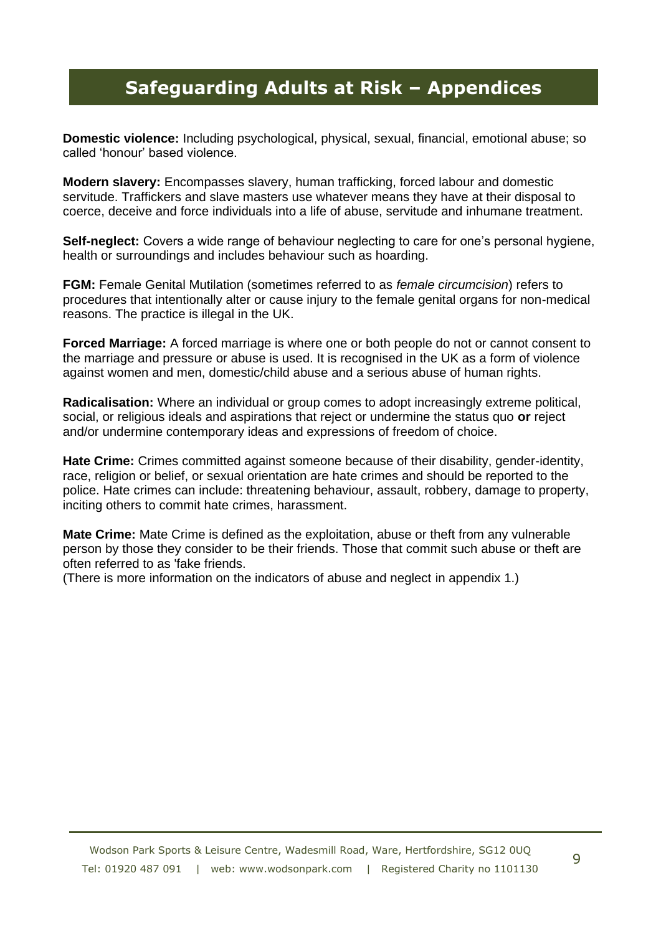**Domestic violence:** Including psychological, physical, sexual, financial, emotional abuse; so called 'honour' based violence.

**Modern slavery:** Encompasses slavery, human trafficking, forced labour and domestic servitude. Traffickers and slave masters use whatever means they have at their disposal to coerce, deceive and force individuals into a life of abuse, servitude and inhumane treatment.

**Self-neglect:** Covers a wide range of behaviour neglecting to care for one's personal hygiene, health or surroundings and includes behaviour such as hoarding.

**FGM:** Female Genital Mutilation (sometimes referred to as *female circumcision*) refers to procedures that intentionally alter or cause injury to the female genital organs for non-medical reasons. The practice is illegal in the UK.

**Forced Marriage:** A forced marriage is where one or both people do not or cannot consent to the marriage and pressure or abuse is used. It is recognised in the UK as a form of violence against women and men, domestic/child abuse and a serious abuse of human rights.

**Radicalisation:** Where an individual or group comes to adopt increasingly extreme political, social, or religious ideals and aspirations that reject or undermine the status quo **or** reject and/or undermine contemporary ideas and expressions of freedom of choice.

**Hate Crime:** Crimes committed against someone because of their disability, gender-identity, race, religion or belief, or sexual orientation are hate crimes and should be reported to the police. Hate crimes can include: threatening behaviour, assault, robbery, damage to property, inciting others to commit hate crimes, harassment.

**Mate Crime:** Mate Crime is defined as the exploitation, abuse or theft from any vulnerable person by those they consider to be their friends. Those that commit such abuse or theft are often referred to as 'fake friends.

(There is more information on the indicators of abuse and neglect in appendix 1.)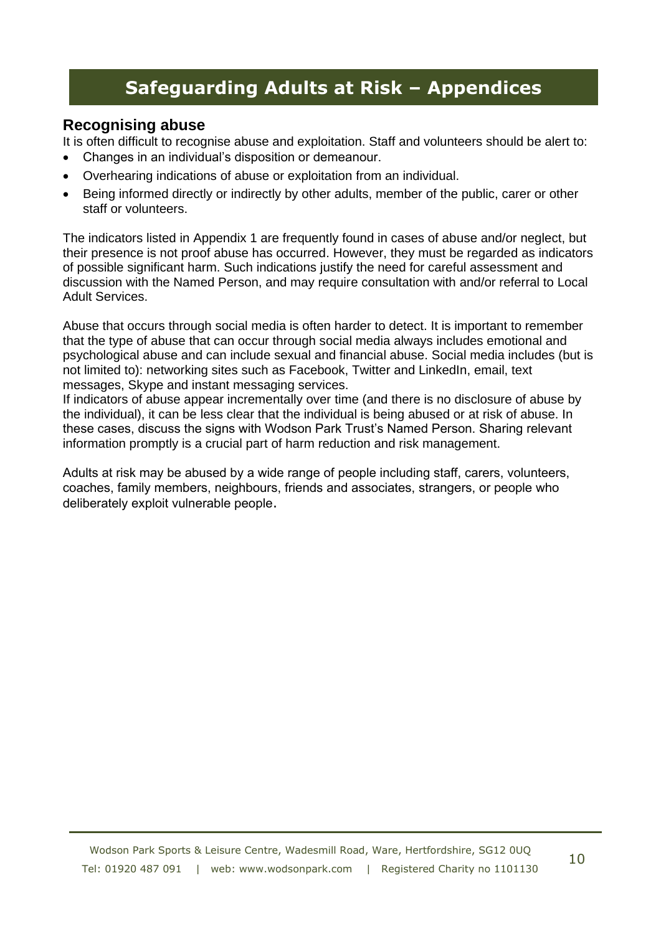### **Recognising abuse**

It is often difficult to recognise abuse and exploitation. Staff and volunteers should be alert to:

- Changes in an individual's disposition or demeanour.
- Overhearing indications of abuse or exploitation from an individual.
- Being informed directly or indirectly by other adults, member of the public, carer or other staff or volunteers.

The indicators listed in Appendix 1 are frequently found in cases of abuse and/or neglect, but their presence is not proof abuse has occurred. However, they must be regarded as indicators of possible significant harm. Such indications justify the need for careful assessment and discussion with the Named Person, and may require consultation with and/or referral to Local Adult Services.

Abuse that occurs through social media is often harder to detect. It is important to remember that the type of abuse that can occur through social media always includes emotional and psychological abuse and can include sexual and financial abuse. Social media includes (but is not limited to): networking sites such as Facebook, Twitter and LinkedIn, email, text messages, Skype and instant messaging services.

If indicators of abuse appear incrementally over time (and there is no disclosure of abuse by the individual), it can be less clear that the individual is being abused or at risk of abuse. In these cases, discuss the signs with Wodson Park Trust's Named Person. Sharing relevant information promptly is a crucial part of harm reduction and risk management.

Adults at risk may be abused by a wide range of people including staff, carers, volunteers, coaches, family members, neighbours, friends and associates, strangers, or people who deliberately exploit vulnerable people.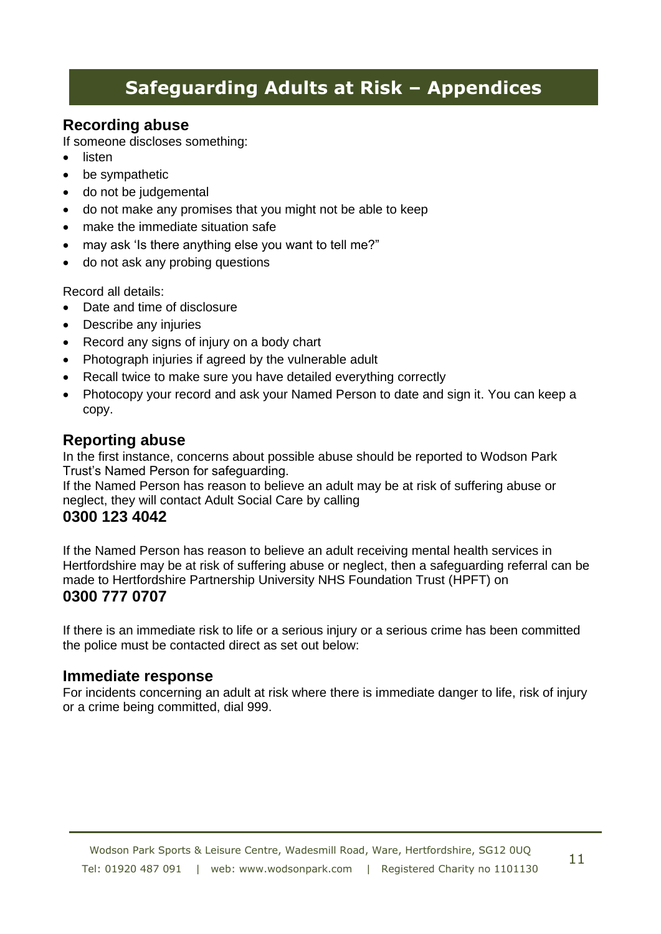### **Recording abuse**

If someone discloses something:

- listen
- be sympathetic
- do not be judgemental
- do not make any promises that you might not be able to keep
- make the immediate situation safe
- may ask 'Is there anything else you want to tell me?"
- do not ask any probing questions

Record all details:

- Date and time of disclosure
- Describe any injuries
- Record any signs of injury on a body chart
- Photograph injuries if agreed by the vulnerable adult
- Recall twice to make sure you have detailed everything correctly
- Photocopy your record and ask your Named Person to date and sign it. You can keep a copy.

### **Reporting abuse**

In the first instance, concerns about possible abuse should be reported to Wodson Park Trust's Named Person for safeguarding.

If the Named Person has reason to believe an adult may be at risk of suffering abuse or neglect, they will contact Adult Social Care by calling

### **0300 123 4042**

If the Named Person has reason to believe an adult receiving mental health services in Hertfordshire may be at risk of suffering abuse or neglect, then a safeguarding referral can be made to Hertfordshire Partnership University NHS Foundation Trust (HPFT) on **0300 777 0707** 

If there is an immediate risk to life or a serious injury or a serious crime has been committed the police must be contacted direct as set out below:

### **Immediate response**

For incidents concerning an adult at risk where there is immediate danger to life, risk of injury or a crime being committed, dial 999.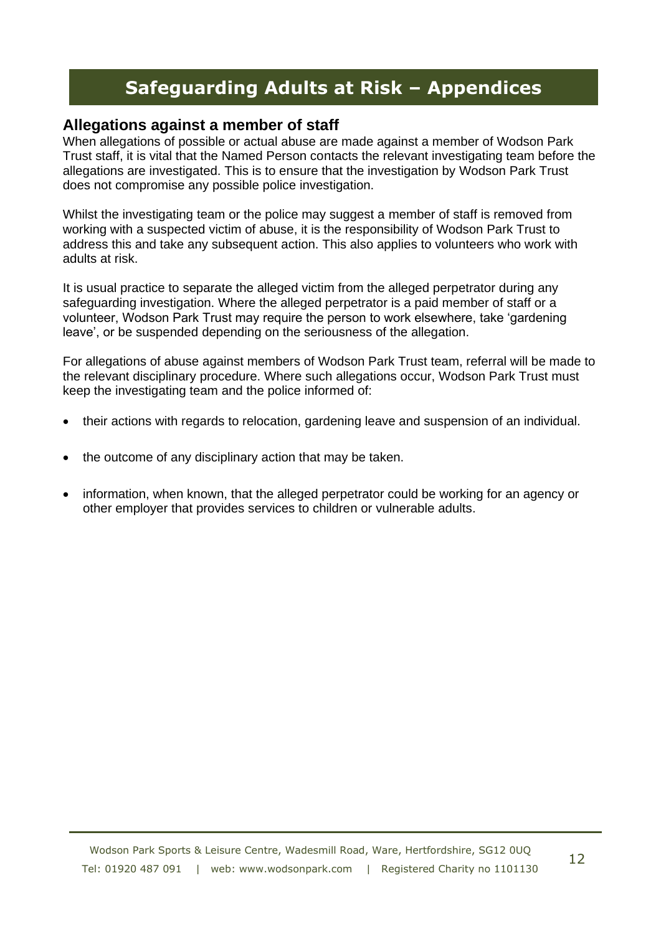### **Allegations against a member of staff**

When allegations of possible or actual abuse are made against a member of Wodson Park Trust staff, it is vital that the Named Person contacts the relevant investigating team before the allegations are investigated. This is to ensure that the investigation by Wodson Park Trust does not compromise any possible police investigation.

Whilst the investigating team or the police may suggest a member of staff is removed from working with a suspected victim of abuse, it is the responsibility of Wodson Park Trust to address this and take any subsequent action. This also applies to volunteers who work with adults at risk.

It is usual practice to separate the alleged victim from the alleged perpetrator during any safeguarding investigation. Where the alleged perpetrator is a paid member of staff or a volunteer, Wodson Park Trust may require the person to work elsewhere, take 'gardening leave', or be suspended depending on the seriousness of the allegation.

For allegations of abuse against members of Wodson Park Trust team, referral will be made to the relevant disciplinary procedure. Where such allegations occur, Wodson Park Trust must keep the investigating team and the police informed of:

- their actions with regards to relocation, gardening leave and suspension of an individual.
- the outcome of any disciplinary action that may be taken.
- information, when known, that the alleged perpetrator could be working for an agency or other employer that provides services to children or vulnerable adults.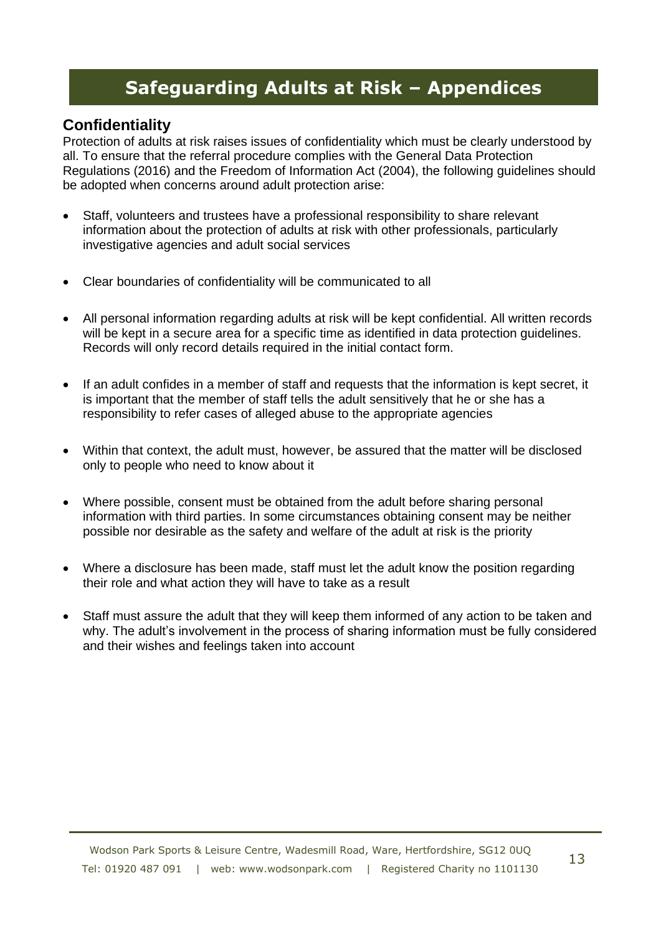### **Confidentiality**

Protection of adults at risk raises issues of confidentiality which must be clearly understood by all. To ensure that the referral procedure complies with the General Data Protection Regulations (2016) and the Freedom of Information Act (2004), the following guidelines should be adopted when concerns around adult protection arise:

- Staff, volunteers and trustees have a professional responsibility to share relevant information about the protection of adults at risk with other professionals, particularly investigative agencies and adult social services
- Clear boundaries of confidentiality will be communicated to all
- All personal information regarding adults at risk will be kept confidential. All written records will be kept in a secure area for a specific time as identified in data protection quidelines. Records will only record details required in the initial contact form.
- If an adult confides in a member of staff and requests that the information is kept secret, it is important that the member of staff tells the adult sensitively that he or she has a responsibility to refer cases of alleged abuse to the appropriate agencies
- Within that context, the adult must, however, be assured that the matter will be disclosed only to people who need to know about it
- Where possible, consent must be obtained from the adult before sharing personal information with third parties. In some circumstances obtaining consent may be neither possible nor desirable as the safety and welfare of the adult at risk is the priority
- Where a disclosure has been made, staff must let the adult know the position regarding their role and what action they will have to take as a result
- Staff must assure the adult that they will keep them informed of any action to be taken and why. The adult's involvement in the process of sharing information must be fully considered and their wishes and feelings taken into account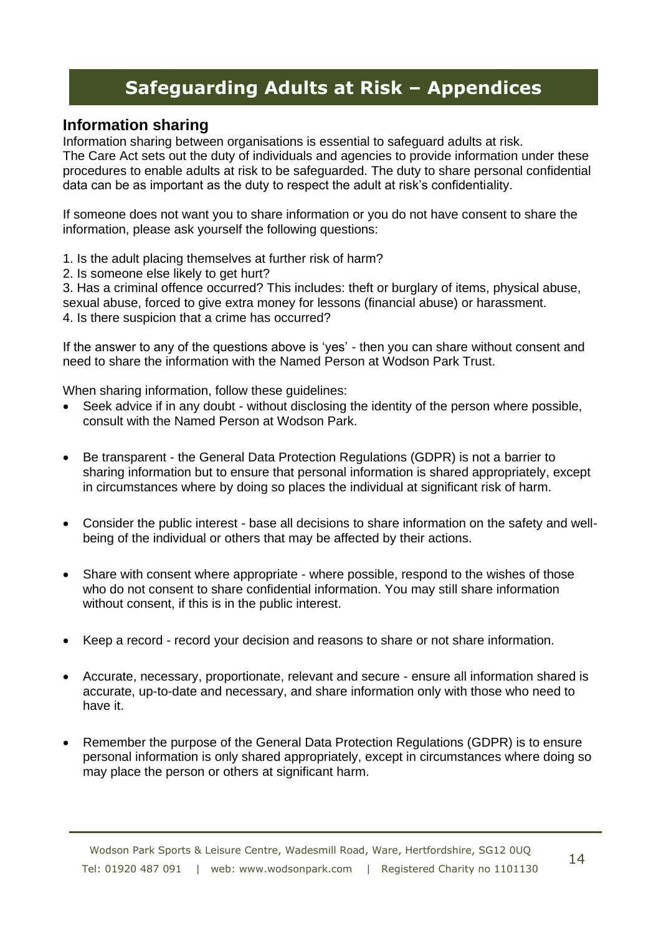### **Information sharing**

Information sharing between organisations is essential to safeguard adults at risk.

The Care Act sets out the duty of individuals and agencies to provide information under these procedures to enable adults at risk to be safeguarded. The duty to share personal confidential data can be as important as the duty to respect the adult at risk's confidentiality.

If someone does not want you to share information or you do not have consent to share the information, please ask yourself the following questions:

1. Is the adult placing themselves at further risk of harm?

2. Is someone else likely to get hurt?

3. Has a criminal offence occurred? This includes: theft or burglary of items, physical abuse, sexual abuse, forced to give extra money for lessons (financial abuse) or harassment.

4. Is there suspicion that a crime has occurred?

If the answer to any of the questions above is 'yes' - then you can share without consent and need to share the information with the Named Person at Wodson Park Trust.

When sharing information, follow these guidelines:

- Seek advice if in any doubt without disclosing the identity of the person where possible, consult with the Named Person at Wodson Park.
- Be transparent the General Data Protection Regulations (GDPR) is not a barrier to sharing information but to ensure that personal information is shared appropriately, except in circumstances where by doing so places the individual at significant risk of harm.
- Consider the public interest base all decisions to share information on the safety and wellbeing of the individual or others that may be affected by their actions.
- Share with consent where appropriate where possible, respond to the wishes of those who do not consent to share confidential information. You may still share information without consent, if this is in the public interest.
- Keep a record record your decision and reasons to share or not share information.
- Accurate, necessary, proportionate, relevant and secure ensure all information shared is accurate, up-to-date and necessary, and share information only with those who need to have it.
- Remember the purpose of the General Data Protection Regulations (GDPR) is to ensure personal information is only shared appropriately, except in circumstances where doing so may place the person or others at significant harm.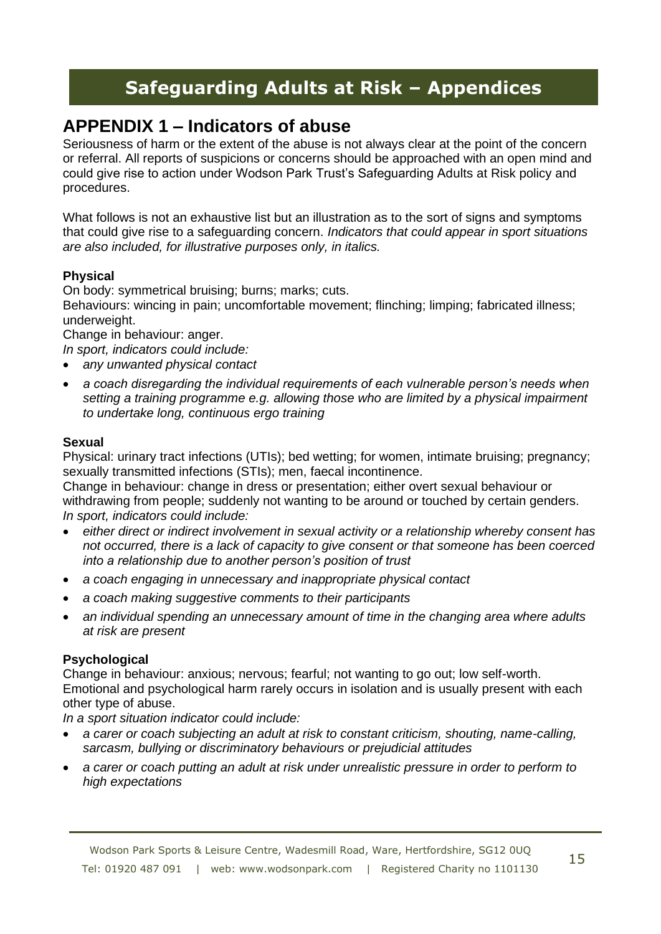## **APPENDIX 1 – Indicators of abuse**

Seriousness of harm or the extent of the abuse is not always clear at the point of the concern or referral. All reports of suspicions or concerns should be approached with an open mind and could give rise to action under Wodson Park Trust's Safeguarding Adults at Risk policy and procedures.

What follows is not an exhaustive list but an illustration as to the sort of signs and symptoms that could give rise to a safeguarding concern. *Indicators that could appear in sport situations are also included, for illustrative purposes only, in italics.* 

#### **Physical**

On body: symmetrical bruising; burns; marks; cuts.

Behaviours: wincing in pain; uncomfortable movement; flinching; limping; fabricated illness; underweight.

Change in behaviour: anger.

- *In sport, indicators could include:*
- *any unwanted physical contact*
- *a coach disregarding the individual requirements of each vulnerable person's needs when setting a training programme e.g. allowing those who are limited by a physical impairment to undertake long, continuous ergo training*

### **Sexual**

Physical: urinary tract infections (UTIs); bed wetting; for women, intimate bruising; pregnancy; sexually transmitted infections (STIs); men, faecal incontinence.

Change in behaviour: change in dress or presentation; either overt sexual behaviour or withdrawing from people; suddenly not wanting to be around or touched by certain genders. *In sport, indicators could include:* 

- *either direct or indirect involvement in sexual activity or a relationship whereby consent has not occurred, there is a lack of capacity to give consent or that someone has been coerced into a relationship due to another person's position of trust*
- *a coach engaging in unnecessary and inappropriate physical contact*
- *a coach making suggestive comments to their participants*
- *an individual spending an unnecessary amount of time in the changing area where adults at risk are present*

#### **Psychological**

Change in behaviour: anxious; nervous; fearful; not wanting to go out; low self-worth. Emotional and psychological harm rarely occurs in isolation and is usually present with each other type of abuse.

*In a sport situation indicator could include:* 

- *a carer or coach subjecting an adult at risk to constant criticism, shouting, name-calling, sarcasm, bullying or discriminatory behaviours or prejudicial attitudes*
- *a carer or coach putting an adult at risk under unrealistic pressure in order to perform to high expectations*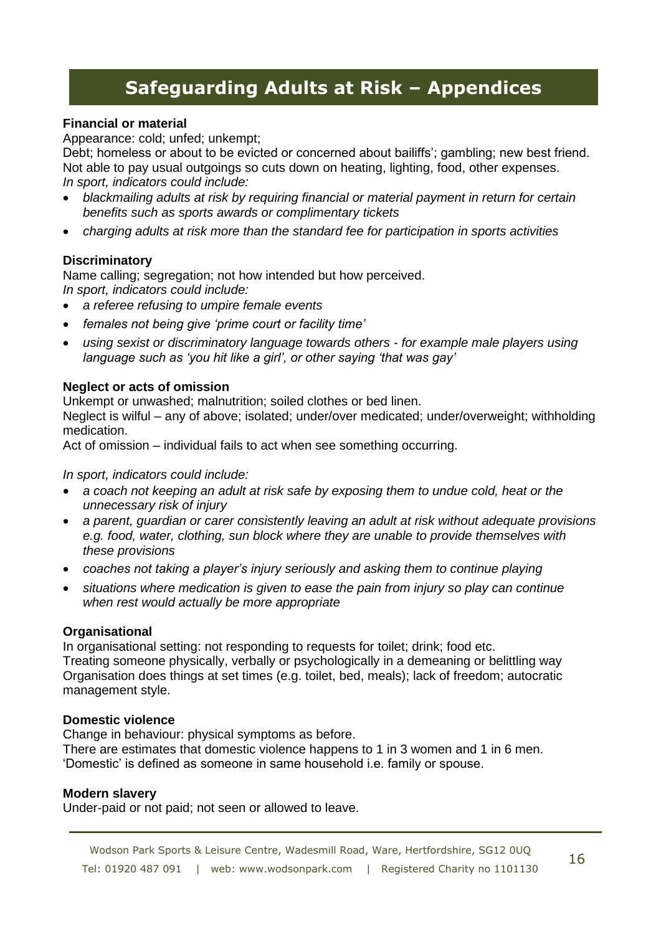#### **Financial or material**

Appearance: cold; unfed; unkempt;

Debt; homeless or about to be evicted or concerned about bailiffs'; gambling; new best friend. Not able to pay usual outgoings so cuts down on heating, lighting, food, other expenses. *In sport, indicators could include:* 

- *blackmailing adults at risk by requiring financial or material payment in return for certain benefits such as sports awards or complimentary tickets*
- *charging adults at risk more than the standard fee for participation in sports activities*

#### **Discriminatory**

Name calling; segregation; not how intended but how perceived. *In sport, indicators could include:* 

- *a referee refusing to umpire female events*
- *females not being give 'prime court or facility time'*
- *using sexist or discriminatory language towards others - for example male players using language such as 'you hit like a girl', or other saying 'that was gay'*

#### **Neglect or acts of omission**

Unkempt or unwashed; malnutrition; soiled clothes or bed linen.

Neglect is wilful – any of above; isolated; under/over medicated; under/overweight; withholding medication.

Act of omission – individual fails to act when see something occurring.

#### *In sport, indicators could include:*

- *a coach not keeping an adult at risk safe by exposing them to undue cold, heat or the unnecessary risk of injury*
- *a parent, guardian or carer consistently leaving an adult at risk without adequate provisions e.g. food, water, clothing, sun block where they are unable to provide themselves with these provisions*
- *coaches not taking a player's injury seriously and asking them to continue playing*
- *situations where medication is given to ease the pain from injury so play can continue when rest would actually be more appropriate*

#### **Organisational**

In organisational setting: not responding to requests for toilet; drink; food etc. Treating someone physically, verbally or psychologically in a demeaning or belittling way Organisation does things at set times (e.g. toilet, bed, meals); lack of freedom; autocratic management style.

#### **Domestic violence**

Change in behaviour: physical symptoms as before.

There are estimates that domestic violence happens to 1 in 3 women and 1 in 6 men. 'Domestic' is defined as someone in same household i.e. family or spouse.

#### **Modern slavery**

Under-paid or not paid; not seen or allowed to leave.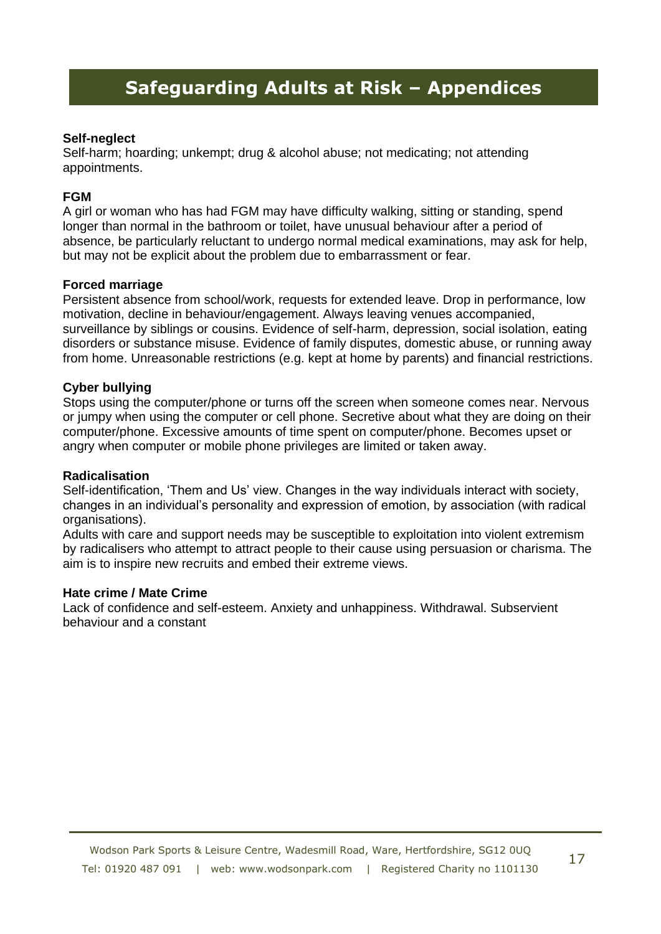#### **Self-neglect**

Self-harm; hoarding; unkempt; drug & alcohol abuse; not medicating; not attending appointments.

#### **FGM**

A girl or woman who has had FGM may have difficulty walking, sitting or standing, spend longer than normal in the bathroom or toilet, have unusual behaviour after a period of absence, be particularly reluctant to undergo normal medical examinations, may ask for help, but may not be explicit about the problem due to embarrassment or fear.

#### **Forced marriage**

Persistent absence from school/work, requests for extended leave. Drop in performance, low motivation, decline in behaviour/engagement. Always leaving venues accompanied, surveillance by siblings or cousins. Evidence of self-harm, depression, social isolation, eating disorders or substance misuse. Evidence of family disputes, domestic abuse, or running away from home. Unreasonable restrictions (e.g. kept at home by parents) and financial restrictions.

#### **Cyber bullying**

Stops using the computer/phone or turns off the screen when someone comes near. Nervous or jumpy when using the computer or cell phone. Secretive about what they are doing on their computer/phone. Excessive amounts of time spent on computer/phone. Becomes upset or angry when computer or mobile phone privileges are limited or taken away.

#### **Radicalisation**

Self-identification, 'Them and Us' view. Changes in the way individuals interact with society, changes in an individual's personality and expression of emotion, by association (with radical organisations).

Adults with care and support needs may be susceptible to exploitation into violent extremism by radicalisers who attempt to attract people to their cause using persuasion or charisma. The aim is to inspire new recruits and embed their extreme views.

#### **Hate crime / Mate Crime**

Lack of confidence and self-esteem. Anxiety and unhappiness. Withdrawal. Subservient behaviour and a constant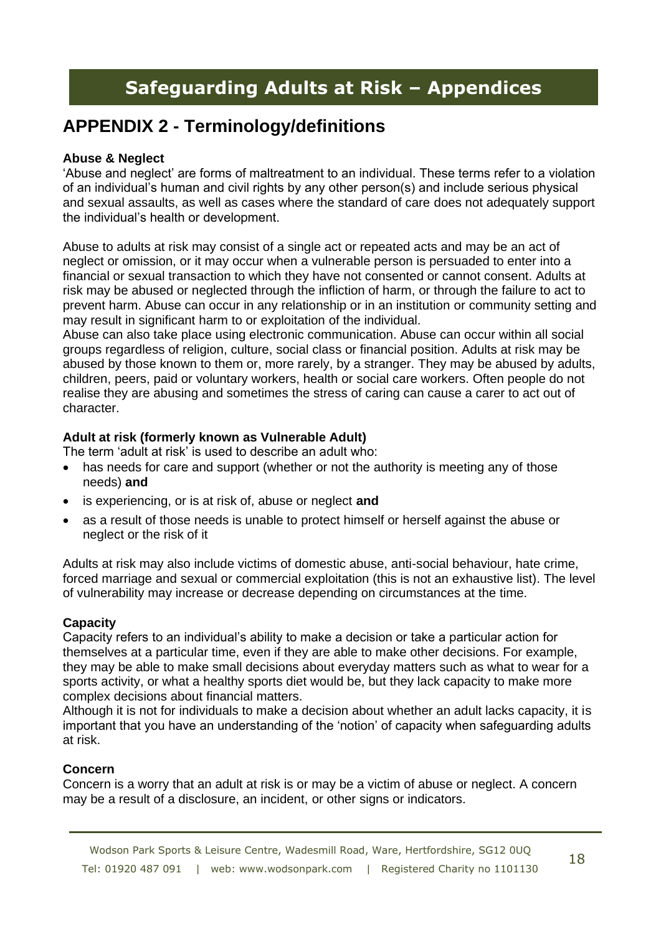## **APPENDIX 2 - Terminology/definitions**

#### **Abuse & Neglect**

'Abuse and neglect' are forms of maltreatment to an individual. These terms refer to a violation of an individual's human and civil rights by any other person(s) and include serious physical and sexual assaults, as well as cases where the standard of care does not adequately support the individual's health or development.

Abuse to adults at risk may consist of a single act or repeated acts and may be an act of neglect or omission, or it may occur when a vulnerable person is persuaded to enter into a financial or sexual transaction to which they have not consented or cannot consent. Adults at risk may be abused or neglected through the infliction of harm, or through the failure to act to prevent harm. Abuse can occur in any relationship or in an institution or community setting and may result in significant harm to or exploitation of the individual.

Abuse can also take place using electronic communication. Abuse can occur within all social groups regardless of religion, culture, social class or financial position. Adults at risk may be abused by those known to them or, more rarely, by a stranger. They may be abused by adults, children, peers, paid or voluntary workers, health or social care workers. Often people do not realise they are abusing and sometimes the stress of caring can cause a carer to act out of character.

#### **Adult at risk (formerly known as Vulnerable Adult)**

The term 'adult at risk' is used to describe an adult who:

- has needs for care and support (whether or not the authority is meeting any of those needs) **and**
- is experiencing, or is at risk of, abuse or neglect **and**
- as a result of those needs is unable to protect himself or herself against the abuse or neglect or the risk of it

Adults at risk may also include victims of domestic abuse, anti-social behaviour, hate crime, forced marriage and sexual or commercial exploitation (this is not an exhaustive list). The level of vulnerability may increase or decrease depending on circumstances at the time.

#### **Capacity**

Capacity refers to an individual's ability to make a decision or take a particular action for themselves at a particular time, even if they are able to make other decisions. For example, they may be able to make small decisions about everyday matters such as what to wear for a sports activity, or what a healthy sports diet would be, but they lack capacity to make more complex decisions about financial matters.

Although it is not for individuals to make a decision about whether an adult lacks capacity, it is important that you have an understanding of the 'notion' of capacity when safeguarding adults at risk.

#### **Concern**

Concern is a worry that an adult at risk is or may be a victim of abuse or neglect. A concern may be a result of a disclosure, an incident, or other signs or indicators.